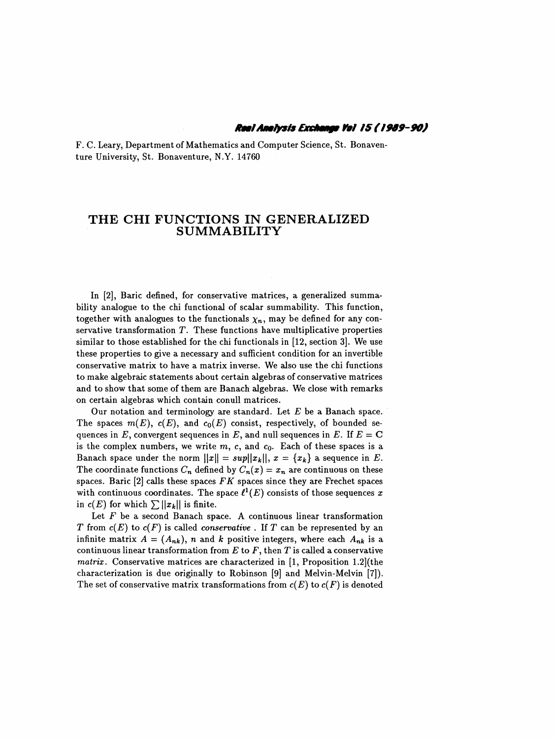F. C. Leary, Department of Mathematics and Computer Science, St. Bonaven ture University, St. Bonaventure, N.Y. 14760

## THE CHI FUNCTIONS IN GENERALIZED SUMMABILITY

 In [2], Baric defined, for conservative matrices, a generalized summa bility analogue to the chi functional of scalar summability. This function, together with analogues to the functionals  $\chi_n$ , may be defined for any conservative transformation  $T$ . These functions have multiplicative properties similar to those established for the chi functionals in [12, section 3]. We use these properties to give a necessary and sufficient condition for an invertible conservative matrix to have a matrix inverse. We also use the chi functions to make algebraic statements about certain algebras of conservative matrices and to show that some of them are Banach algebras. We close with remarks on certain algebras which contain conull matrices.

Our notation and terminology are standard. Let  $E$  be a Banach space. The spaces  $m(E)$ ,  $c(E)$ , and  $c_0(E)$  consist, respectively, of bounded sequences in E, convergent sequences in E, and null sequences in E. If  $E = C$ is the complex numbers, we write  $m$ ,  $c$ , and  $c_0$ . Each of these spaces is a Banach space under the norm  $||x|| = sup||x_k||$ ,  $x = \{x_k\}$  a sequence in E. The coordinate functions  $C_n$  defined by  $C_n(x) = x_n$  are continuous on these spaces. Baric [2] calls these spaces  $FK$  spaces since they are Frechet spaces with continuous coordinates. The space  $\ell^1(E)$  consists of those sequences x in  $c(E)$  for which  $\sum ||x_k||$  is finite.

Let  $F$  be a second Banach space. A continuous linear transformation T from  $c(E)$  to  $c(F)$  is called *conservative*. If T can be represented by an infinite matrix  $A = (A_{nk})$ , n and k positive integers, where each  $A_{nk}$  is a continuous linear transformation from  $E$  to  $F$ , then  $T$  is called a conservative matrix. Conservative matrices are characterized in [1, Proposition 1.2](the characterization is due originally to Robinson [9] and Melvin-Melvin [7]). The set of conservative matrix transformations from  $c(E)$  to  $c(F)$  is denoted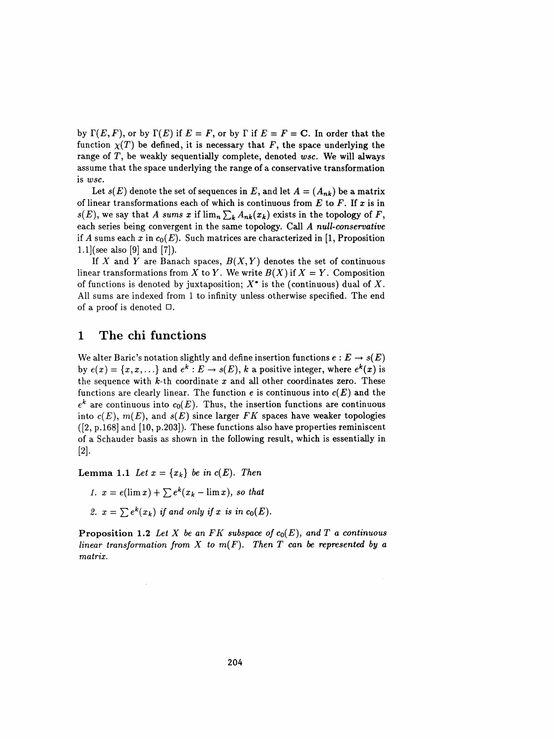by  $\Gamma(E, F)$ , or by  $\Gamma(E)$  if  $E = F$ , or by  $\Gamma$  if  $E = F = C$ . In order that the function  $\chi(T)$  be defined, it is necessary that F, the space underlying the range of T, be weakly sequentially complete, denoted wsc. We will always assume that the space underlying the range of a conservative transformation is wsc.

Let  $s(E)$  denote the set of sequences in E, and let  $A = (A_{nk})$  be a matrix of linear transformations each of which is continuous from  $E$  to  $F$ . If  $x$  is in  $s(E)$ , we say that A sums x if  $\lim_{n\to\infty}$   $A_{nk}(x_k)$  exists in the topology of F, each series being convergent in the same topology. Call A null-conservative if A sums each x in  $c_0(E)$ . Such matrices are characterized in [1, Proposition 1.1] (see also [9] and [7]).

If X and Y are Banach spaces,  $B(X, Y)$  denotes the set of continuous linear transformations from X to Y. We write  $B(X)$  if  $X = Y$ . Composition of functions is denoted by juxtaposition;  $X^*$  is the (continuous) dual of X. All sums are indexed from 1 to infinity unless otherwise specified. The end of a proof is denoted □.

## 1 The chi functions

We alter Baric's notation slightly and define insertion functions  $e : E \to s(E)$ by  $e(x) = \{x, x, ...\}$  and  $e^k : E \to s(E)$ , k a positive integer, where  $e^k(x)$  is the sequence with  $k$ -th coordinate  $x$  and all other coordinates zero. These functions are clearly linear. The function  $e$  is continuous into  $c(E)$  and the  $e^{k}$  are continuous into  $c_{0}(E)$ . Thus, the insertion functions are continuous into  $c(E)$ ,  $m(E)$ , and  $s(E)$  since larger FK spaces have weaker topologies  $([2, p.168]$  and  $[10, p.203]$ . These functions also have properties reminiscent of a Schauder basis as shown in the following result, which is essentially in [2],

Lemma 1.1 Let  $x = \{x_k\}$  be in  $c(E)$ . Then

1.  $x = e(\lim x) + \sum e^{k}(x_k - \lim x)$ , so that 2.  $x = \sum e^{k}(x_k)$  if and only if x is in  $c_0(E)$ .

**Proposition 1.2** Let X be an FK subspace of  $c_0(E)$ , and T a continuous linear transformation from X to  $m(F)$ . Then T can be represented by a matrix.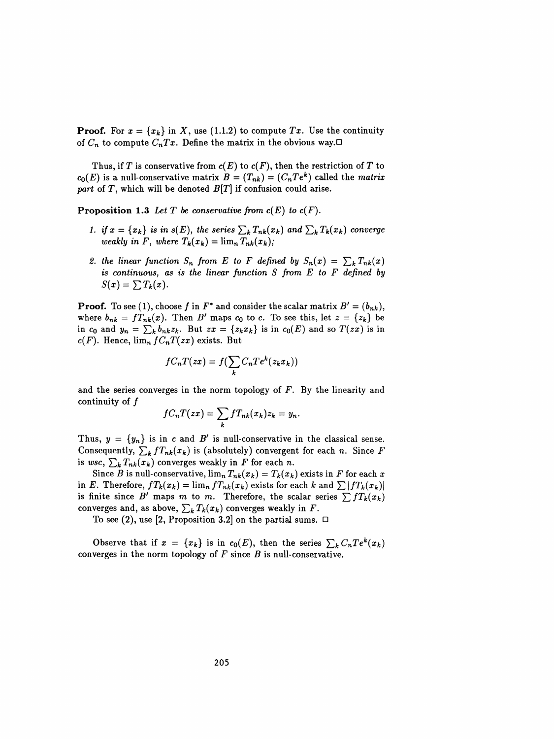**Proof.** For  $x = \{x_k\}$  in X, use (1.1.2) to compute Tx. Use the continuity of  $C_n$  to compute  $C_nTx$ . Define the matrix in the obvious way. $\Box$ 

Thus, if T is conservative from  $c(E)$  to  $c(F)$ , then the restriction of T to  $c_0(E)$  is a null-conservative matrix  $B = (T_{nk}) = (C_n T e^k)$  called the matrix part of  $T$ , which will be denoted  $B[T]$  if confusion could arise.

Proposition 1.3 Let T be conservative from  $c(E)$  to  $c(F)$ .

- 1. if  $x = \{x_k\}$  is in  $s(E)$ , the series  $\sum_k T_{nk}(x_k)$  and  $\sum_k T_k(x_k)$  converge weakly in F, where  $T_k(x_k) = \lim_{n \to \infty} T_{nk}(x_k)$ ;
- 2. the linear function  $S_n$  from E to F defined by  $S_n(x) = \sum_k T_{nk}(x)$ is continuous, as is the linear function  $S$  from  $E$  to  $F$  defined by  $S(x) = \sum T_k(x)$ .

**Proof.** To see (1), choose f in  $F^*$  and consider the scalar matrix  $B' = (b_{nk})$ , where  $b_{nk} = f T_{nk}(x)$ . Then B' maps  $c_0$  to c. To see this, let  $z = \{z_k\}$  be in  $c_0$  and  $y_n = \sum_k b_{nk}z_k$ . But  $zx = \{z_k x_k\}$  is in  $c_0(E)$  and so  $T(zx)$  is in  $c(F)$ . Hence,  $\lim_{n} f C_n T(zx)$  exists. But

$$
fC_nT(zx) = f(\sum_k C_n T e^k(z_k x_k))
$$

and the series converges in the norm topology of  $F$ . By the linearity and continuity of  $f$ 

$$
fC_nT(zx)=\sum_k fT_{nk}(x_k)z_k=y_n
$$

Thus,  $y = \{y_n\}$  is in c and B' is null-conservative in the classical sense. Consequently,  $\sum_{k} f T_{nk}(x_k)$  is (absolutely) convergent for each n. Since F is wsc,  $\sum_{k} T_{nk}(x_k)$  converges weakly in F for each n.

Since B is null-conservative,  $\lim_{n} T_{nk}(x_k) = T_k(x_k)$  exists in F for each x in E. Therefore,  $f T_k(x_k) = \lim_n f T_{nk}(x_k)$  exists for each k and  $\sum |f T_k(x_k)|$ is finite since B' maps m to m. Therefore, the scalar series  $\sum fT_k(x_k)$ converges and, as above,  $\sum_k T_k(x_k)$  converges weakly in F.

To see (2), use [2, Proposition 3.2] on the partial sums.  $\Box$ 

Observe that if  $x = \{x_k\}$  is in  $c_0(E)$ , then the series  $\sum_k C_n T e^k(x_k )$ converges in the norm topology of  $F$  since  $B$  is null-conservative.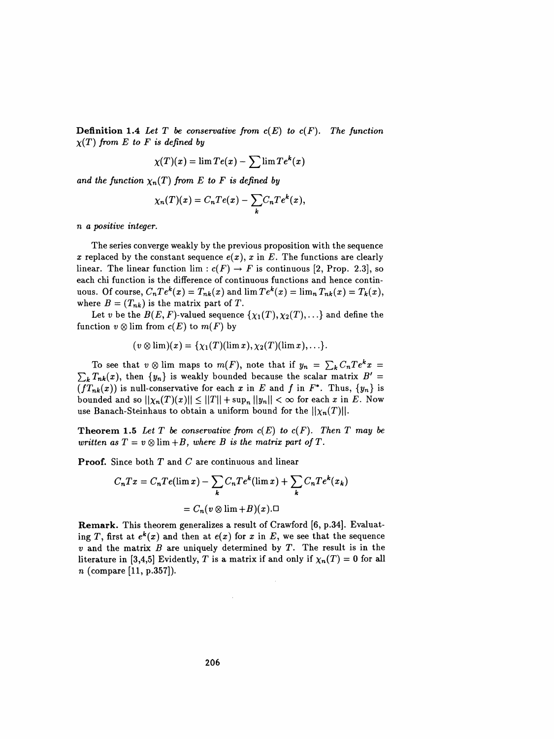**Definition 1.4** Let T be conservative from  $c(E)$  to  $c(F)$ . The function  $\chi(T)$  from E to F is defined by

$$
\chi(T)(x) = \lim Te(x) - \sum \lim Te^k(x)
$$

and the function  $\chi_n(T)$  from E to F is defined by

$$
\chi_n(T)(x) = C_n Te(x) - \sum_k C_n Te^k(x),
$$

n a positive integer.

 The series converge weakly by the previous proposition with the sequence x replaced by the constant sequence  $e(x)$ , x in E. The functions are clearly linear. The linear function lim :  $c(F) \rightarrow F$  is continuous [2, Prop. 2.3], so each chi function is the difference of continuous functions and hence contin uous. Of course,  $C_n Te^k(x) = T_{nk}(x)$  and  $\lim Te^k(x) = \lim_n T_{nk}(x) = T_k(x)$ , where  $B = (T_{nk})$  is the matrix part of T.

Let v be the  $B(E, F)$ -valued sequence  $\{\chi_1(T), \chi_2(T), ...\}$  and define the function  $v \otimes \lim$  from  $c(E)$  to  $m(F)$  by

$$
(v\otimes\lim)(x)=\{\chi_1(T)(\lim x),\chi_2(T)(\lim x),\ldots\}.
$$

To see that  $v \otimes \lim_{n \to \infty} \log \log m(F)$ , note that if  $y_n = \sum_{k} C_n T e^{k} x =$  $\sum_{k}T_{nk}(x)$ , then  $\{y_n\}$  is weakly bounded because the scalar matrix  $B' =$  $(fT_{nk}(x))$  is null-conservative for each x in E and f in  $F^*$ . Thus,  $\{y_n\}$  is bounded and so  $||\chi_n(T)(x)|| \leq ||T|| + \sup_n ||y_n|| < \infty$  for each x in E. Now use Banach-Steinhaus to obtain a uniform bound for the  $||\chi_n(T)||$ .

**Theorem 1.5** Let T be conservative from  $c(E)$  to  $c(F)$ . Then T may be written as  $T = v \otimes \lim_{h \to 0} H$ , where B is the matrix part of T.

**Proof.** Since both  $T$  and  $C$  are continuous and linear

$$
C_n T x = C_n T e(\lim x) - \sum_k C_n T e^k (\lim x) + \sum_k C_n T e^k (x_k)
$$
  
=  $C_n (v \otimes \lim + B)(x) . \Box$   
Remark. This theorem generalizes a result of Crawford [6, p.34]. Evaluate-  
ing T, first at  $e^k(x)$  and then at  $e(x)$  for x in E, we see that the sequence

**incomonately**  $= C_n(v \otimes \lim + B)(x). \Box$ <br>**Remark.** This theorem generalizes a result of Crawford [6, p.34]. Evaluating T, first at  $e^k(x)$  and then at  $e(x)$  for x in E, we see that the sequence and the matrix B are uniquely dete **Remark.** This theorem generalizes a result of Crawford [6, p.34]. Evaluating T, first at  $e^k(x)$  and then at  $e(x)$  for x in E, we see that the sequence v and the matrix B are uniquely determined by T. The result is in th **Remark.** This theorem generalizes a result of Crawford [6, p.34]. Evaluating T, first at  $e^{k}(x)$  and then at  $e(x)$  for x in E, we see that the sequence v and the matrix B are uniquely determined by T. The result is in t ing T, first at  $e^k(x)$  and then at  $e(x)$  for x in E, we see that the sequence<br>v and the matrix B are uniquely determined by T. The result is in the<br>literature in [3,4,5] Evidently, T is a matrix if and only if  $\chi_n(T) = 0$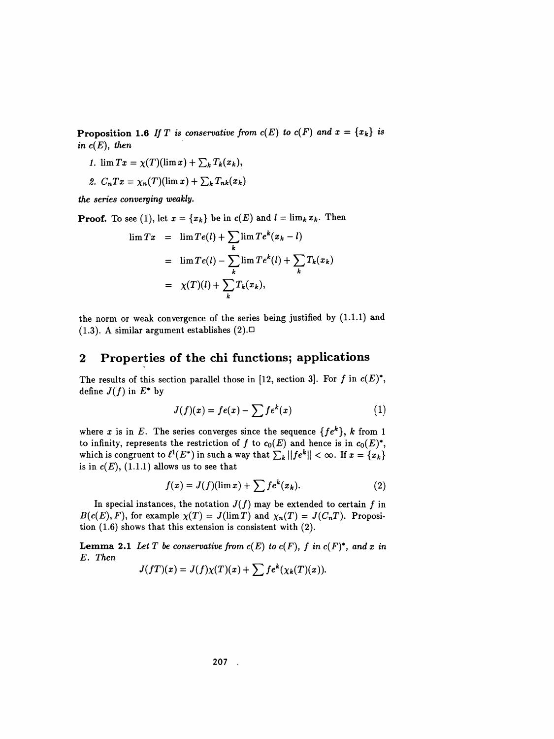**Proposition 1.6** If T is conservative from  $c(E)$  to  $c(F)$  and  $x = \{x_k\}$  is in  $c(E)$ , then

- 1.  $\lim Tx = \chi(T)(\lim x) + \sum_k T_k(x_k),$
- 2.  $C_nTx = \chi_n(T)(\lim x) + \sum_k T_{nk}(x_k)$

the series converging weakly.

**Proof.** To see (1), let  $x = \{x_k\}$  be in  $c(E)$  and  $l = \lim_k x_k$ . Then

$$
\lim T x = \lim T e(l) + \sum_{k} \lim T e^{k} (x_{k} - l)
$$
  
= 
$$
\lim T e(l) - \sum_{k} \lim T e^{k} (l) + \sum_{k} T_{k} (x_{k})
$$
  
= 
$$
\chi(T)(l) + \sum_{k} T_{k} (x_{k}),
$$

 the norm or weak convergence of the series being justified by (1.1.1) and (1.3). A similar argument establishes  $(2)$ .

## 2 Properties of the chi functions; applications

The results of this section parallel those in [12, section 3]. For f in  $c(E)^*$ , define  $J(f)$  in  $E^*$  by

$$
J(f)(x) = fe(x) - \sum f e^{k}(x)
$$
 (1)

where x is in E. The series converges since the sequence  $\{fe^{k}\}, k$  from 1 to infinity, represents the restriction of f to  $c_0(E)$  and hence is in  $c_0(E)^*$ , which is congruent to  $\ell^1(E^*)$  in such a way that  $\sum_k ||fe^k|| < \infty$ . If  $x = \{x_k\}$ is in  $c(E)$ , (1.1.1) allows us to see that

$$
f(x) = J(f)(\lim x) + \sum f e^{k}(x_k).
$$
 (2)

In special instances, the notation  $J(f)$  may be extended to certain f in  $B(c(E), F)$ , for example  $\chi(T) = J(\lim T)$  and  $\chi_n(T) = J(C_nT)$ . Proposition (1.6) shows that this extension is consistent with (2).

**Lemma 2.1** Let T be conservative from  $c(E)$  to  $c(F)$ , f in  $c(F)^*$ , and x in E. Then

$$
J(fT)(x) = J(f)\chi(T)(x) + \sum f e^{k}(\chi_k(T)(x)).
$$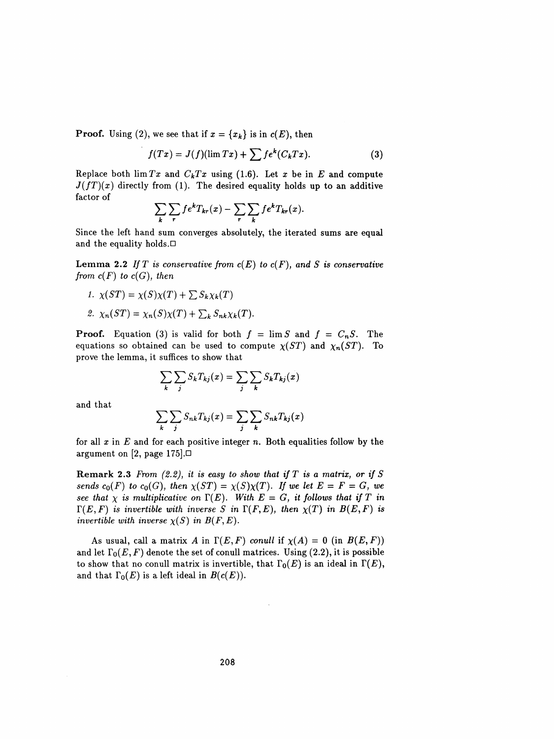**Proof.** Using (2), we see that if  $x = \{x_k\}$  is in  $c(E)$ , then

$$
f(Tx) = J(f)(\lim Tx) + \sum f e^{k}(C_{k}Tx). \tag{3}
$$

Replace both  $\lim Tx$  and  $C_kTx$  using (1.6). Let x be in E and compute  $J(fT)(x)$  directly from (1). The desired equality holds up to an additive factor of

$$
\sum_{k} \sum_{r} f e^{k} T_{kr}(x) - \sum_{r} \sum_{k} f e^{k} T_{kr}(x).
$$

Since the left hand sum converges absolutely, the iterated sums are equal<br>and the equality holds  $\Box$ Since the left hand sum converges absolutely, the iterated sums are equal and the equality holds.  $\Box$ 

and the equality holds. $\Box$ <br>Lemma 2.2 If T is conservative from  $c(E)$  to  $c(F)$ , and S is conservative<br>from  $c(F)$  to  $c(G)$ , then **Lemma 2.2** If T is conservative from  $c(E)$  to  $c(F)$ , and S is conservative<br>from  $c(F)$  to  $c(G)$ , then<br>1.  $\chi(ST) = \chi(S)\chi(T) + \sum S_k \chi_k(T)$ m  $c(F)$  to  $c(G)$ , then<br>1.  $\chi(ST) = \chi(S)\chi(T) + \sum S_k\chi_k(T)$ 

1.  $\chi(ST) = \chi(S)\chi(T) + \sum S_k \chi_k(T)$ <br>2.  $\chi_n(ST) = \chi_n(S)\chi(T) + \sum_k S_{nk}\chi_k(T)$ .

**Proof.** Equation (3) is valid for both  $f = \lim S$  and  $f = C_nS$ . The equations so obtained can be used to compute  $\chi(ST)$  and  $\chi_n(ST)$ . To prove the lemma, it suffices to show that

$$
\sum_{k} \sum_{j} S_{k} T_{kj}(x) = \sum_{j} \sum_{k} S_{k} T_{kj}(x)
$$

and that

$$
\sum_{k} \sum_{j} S_{nk} T_{kj}(x) = \sum_{j} \sum_{k} S_{nk} T_{kj}(x)
$$

for all x in E and for each positive integer n. Both equalities follow by the<br>argument on [2 nage 175] for all x in E and for each positive integer n. Both equalities follow by the argument on [2, page 175]. $\Box$ 

argument on [2, page 175]. $\Box$ <br>Remark 2.3 From (2.2), it is easy to show that if T is a matrix, or if S<br>sends  $c_0(F)$  to  $c_0(G)$ , then  $\chi(ST) = \chi(S)\chi(T)$ . If we let  $E = F = G$ , we **Remark 2.3** From (2.2), it is easy to show that if T is a matrix, or if S<br>sends  $c_0(F)$  to  $c_0(G)$ , then  $\chi(ST) = \chi(S)\chi(T)$ . If we let  $E = F = G$ , we<br>see that  $\chi$  is multiplicative on  $\Gamma(E)$ . With  $E = G$ , it follows that if T i **REMARK 2.3** From (2.2), it is easy to show that if I is a matrix, or if  $S$ <br>sends  $c_0(F)$  to  $c_0(G)$ , then  $\chi(ST) = \chi(S)\chi(T)$ . If we let  $E = F = G$ , we<br>see that  $\chi$  is multiplicative on  $\Gamma(E)$ . With  $E = G$ , it follows that if sends  $c_0(F)$  to  $c_0(G)$ , then  $\chi(ST) = \chi(S)\chi(T)$ . If we let  $E = F = G$ , we<br>see that  $\chi$  is multiplicative on  $\Gamma(E)$ . With  $E = G$ , it follows that if  $T$  in<br> $\Gamma(E, F)$  is invertible with inverse  $S$  in  $\Gamma(F, E)$ , then  $\chi(T)$  in  $B(E$ see that  $\chi$  is multiplicative on  $\Gamma(E)$ . With  $E = G$ , it follows that if  $T$  in  $\Gamma(E, F)$  is invertible with inverse  $S$  in  $\Gamma(F, E)$ , then  $\chi(T)$  in  $B(E, F)$  is invertible with inverse  $\chi(S)$  in  $B(F, E)$ .

ertible with inverse  $\chi(S)$  in  $B(F, E)$ .<br>As usual, call a matrix A in  $\Gamma(E, F)$  conull if  $\chi(A) = 0$  (in  $B(E, F)$ )<br>let  $\Gamma_0(E, F)$  denote the set of conull matrices. Using (2.2), it is possible As usual, call a matrix A in  $\Gamma(E, F)$  conull if  $\chi(A) = 0$  (in  $B(E, F)$ )<br>and let  $\Gamma_0(E, F)$  denote the set of conull matrices. Using (2.2), it is possible<br>to show that no conull matrix is invertible, that  $\Gamma_0(E)$  is an ide As usual, call a matrix A in  $\Gamma(E, F)$  conult if  $\chi(A) = 0$  (in  $D(E, F)$ )<br>and let  $\Gamma_0(E, F)$  denote the set of conull matrices. Using (2.2), it is possible<br>to show that no conull matrix is invertible, that  $\Gamma_0(E)$  is an ide and let  $\Gamma_0(E, F)$  denote the set of conull matrices. Using (2.2), it is possible<br>to show that no conull matrix is invertible, that  $\Gamma_0(E)$  is an ideal in  $\Gamma(E)$ ,<br>and that  $\Gamma_0(E)$  is a left ideal in  $B(c(E))$ .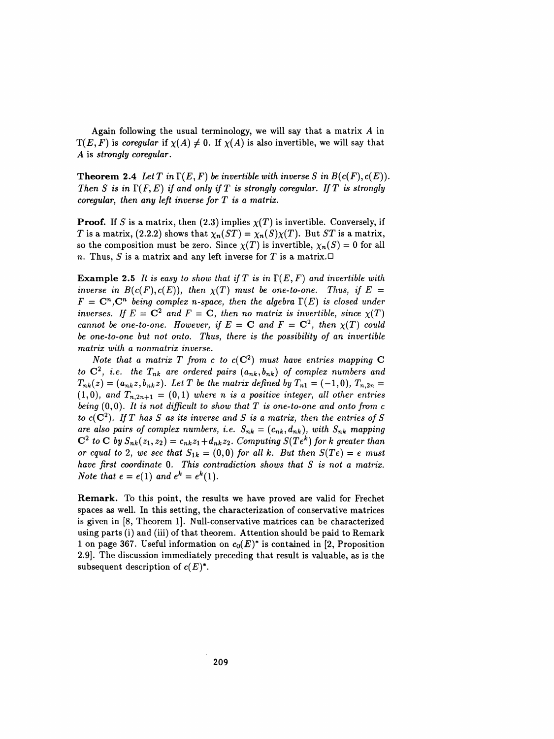Again following the usual terminology, we will say that a matrix  $A$  in  $T(E, F)$  is coregular if  $\chi(A) \neq 0$ . If  $\chi(A)$  is also invertible, we will say that A is strongly coregular.

**Theorem 2.4** Let T in  $\Gamma(E, F)$  be invertible with inverse S in  $B(c(F), c(E))$ . Then S is in  $\Gamma(F, E)$  if and only if T is strongly coregular. If T is strongly coregular, then any left inverse for  $T$  is a matrix.

**Proof.** If S is a matrix, then (2.3) implies  $\chi(T)$  is invertible. Conversely, if T is a matrix, (2.2.2) shows that  $\chi_n(ST) = \chi_n(S)\chi(T)$ . But ST is a matrix, so the composition must be zero. Since  $\chi(T)$  is invertible,  $\chi_n(S) = 0$  for all n. Thus, S is a matrix and any left inverse for T is a matrix.  $\Box$ 

**Example 2.5** It is easy to show that if T is in  $\Gamma(E,F)$  and invertible with inverse in  $B(c(F), c(E))$ , then  $\chi(T)$  must be one-to-one. Thus, if  $E =$  $F = \mathbf{C}^n$ ,  $\mathbf{C}^n$  being complex n-space, then the algebra  $\Gamma(E)$  is closed under inverses. If  $E = \mathbb{C}^2$  and  $F = \mathbb{C}$ , then no matrix is invertible, since  $\chi(T)$ cannot be one-to-one. However, if  $E = C$  and  $F = C^2$ , then  $\chi(T)$  could be one-to-one but not onto. Thus, there is the possibility of an invertible matrix with a nonmatrix inverse.

Note that a matrix T from c to  $c(C^2)$  must have entries mapping C to  $\mathbf{C}^2$ , i.e. the  $T_{nk}$  are ordered pairs  $(a_{nk},b_{nk})$  of complex numbers and  $T_{nk}(z) = (a_{nk}z, b_{nk}z)$ . Let T be the matrix defined by  $T_{n1} = (-1,0), T_{n,2n} =$  $(1,0)$ , and  $T_{n,2n+1} = (0,1)$  where n is a positive integer, all other entries being  $(0,0)$ . It is not difficult to show that T is one-to-one and onto from c to  $c(C^2)$ . If T has S as its inverse and S is a matrix, then the entries of S are also pairs of complex numbers, i.e.  $S_{nk} = (c_{nk}, d_{nk})$ , with  $S_{nk}$  mapping  $C^2$  to C by  $S_{nk}(z_1, z_2) = c_{nk}z_1+d_{nk}z_2$ . Computing  $S(Te^k)$  for k greater than or equal to 2, we see that  $S_{1k} = (0,0)$  for all k. But then  $S(Te) = e$  must have first coordinate 0. This contradiction shows that S is not a matrix. Note that  $e = e(1)$  and  $e^k = e^k(1)$ .

 Remark. To this point, the results we have proved are valid for Frechet spaces as well. In this setting, the characterization of conservative matrices is given in [8, Theorem 1]. Null-conservative matrices can be characterized using parts (i) and (iii) of that theorem. Attention should be paid to Remark 1 on page 367. Useful information on  $c_0(E)^*$  is contained in [2, Proposition 2.9]. The discussion immediately preceding that result is valuable, as is the subsequent description of  $c(E)^*$ .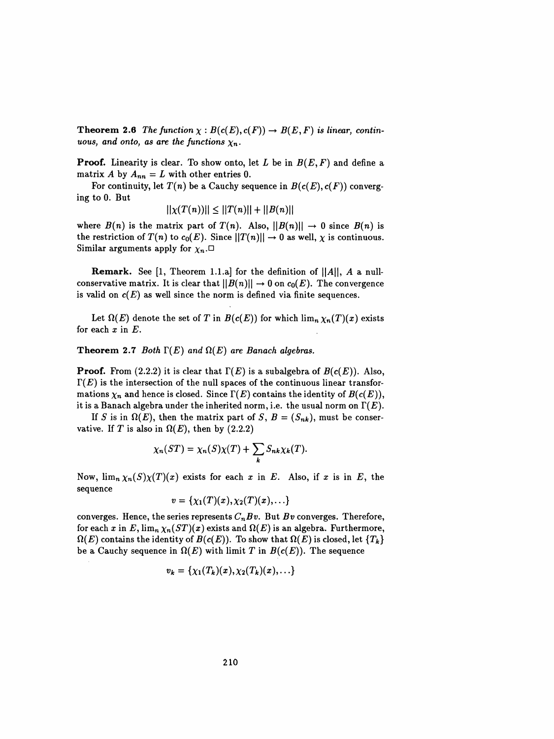**Theorem 2.6** The function  $\chi : B(c(E), c(F)) \to B(E, F)$  is linear, continuous, and onto, as are the functions  $\chi_n$ .

**Proof.** Linearity is clear. To show onto, let L be in  $B(E, F)$  and define a matrix A by  $A_{nn} = L$  with other entries 0.

For continuity, let  $T(n)$  be a Cauchy sequence in  $B(c(E), c(F))$  converging to 0. But

$$
||\chi(T(n))|| \le ||T(n)|| + ||B(n)||
$$

where  $B(n)$  is the matrix part of  $T(n)$ . Also,  $||B(n)|| \rightarrow 0$  since  $B(n)$  is the restriction of  $T(n)$  to  $c_0(E)$ . Since  $||T(n)|| \rightarrow 0$  as well,  $\chi$  is continuous. Similar arguments apply for  $\chi_n$ .

**Remark.** See [1, Theorem 1.1.a] for the definition of  $||A||$ , A a nullconservative matrix. It is clear that  $||B(n)|| \rightarrow 0$  on  $c_0(E)$ . The convergence is valid on  $c(E)$  as well since the norm is defined via finite sequences.

Let  $\Omega(E)$  denote the set of T in  $B(c(E))$  for which  $\lim_{n \to \infty} \chi_n(T)(x)$  exists for each  $x$  in  $E$ .

#### Theorem 2.7 Both  $\Gamma(E)$  and  $\Omega(E)$  are Banach algebras.

**Proof.** From (2.2.2) it is clear that  $\Gamma(E)$  is a subalgebra of  $B(c(E))$ . Also,  $\Gamma(E)$  is the intersection of the null spaces of the continuous linear transformations  $\chi_n$  and hence is closed. Since  $\Gamma(E)$  contains the identity of  $B(c(E))$ , it is a Banach algebra under the inherited norm, i.e. the usual norm on  $\Gamma(E)$ .

If S is in  $\Omega(E)$ , then the matrix part of S,  $B = (S_{nk})$ , must be conservative. If T is also in  $\Omega(E)$ , then by (2.2.2)

$$
\chi_n(ST) = \chi_n(S)\chi(T) + \sum_k S_{nk}\chi_k(T).
$$

Now,  $\lim_{n \to \infty} \chi_n(S) \chi(T)(x)$  exists for each x in E. Also, if x is in E, the sequence

$$
v=\{\chi_1(T)(x),\chi_2(T)(x),\ldots\}
$$

converges. Hence, the series represents  $C_nBv$ . But Bv converges. Therefore, for each x in E,  $\lim_{n} \chi_n(ST)(x)$  exists and  $\Omega(E)$  is an algebra. Furthermore,  $\Omega(E)$  contains the identity of  $B(c(E))$ . To show that  $\Omega(E)$  is closed, let  ${T_k}$ be a Cauchy sequence in  $\Omega(E)$  with limit T in  $B(c(E))$ . The sequence

$$
v_k = \{\chi_1(T_k)(x), \chi_2(T_k)(x), \ldots\}
$$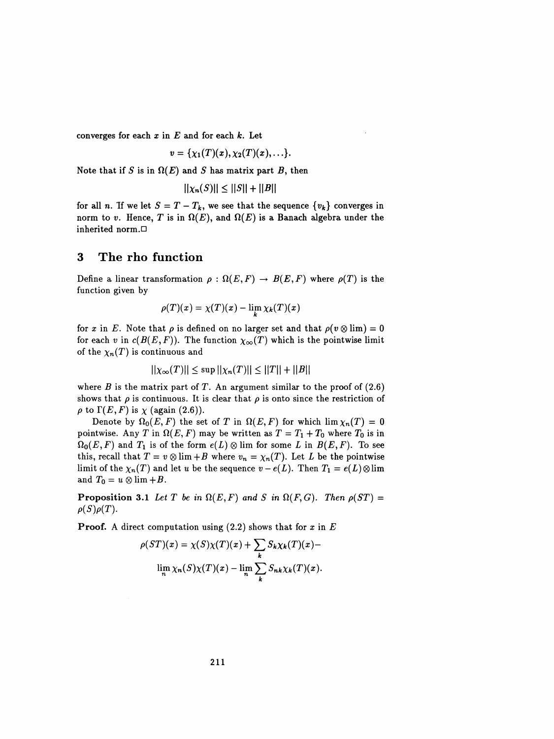converges for each  $x$  in  $E$  and for each  $k$ . Let

$$
v=\{\chi_1(T)(x),\chi_2(T)(x),\ldots\}.
$$

Note that if S is in  $\Omega(E)$  and S has matrix part B, then

$$
||\chi_n(S)|| \leq ||S|| + ||B||
$$

for all n. If we let  $S = T - T_k$ , we see that the sequence  $\{v_k\}$  converges in norm to v. Hence, T is in  $\Omega(E)$ , and  $\Omega(E)$  is a Banach algebra under the inherited norm. $\Box$ 

### 3 The rho function

Define a linear transformation  $\rho : \Omega(E, F) \to B(E, F)$  where  $\rho(T)$  is the function given by

$$
\rho(T)(x) = \chi(T)(x) - \lim_k \chi_k(T)(x)
$$

K

for x in E. Note that  $\rho$  is defined on no larger set and that  $\rho(v \otimes \lim) = 0$ for each v in  $c(B(E,F))$ . The function  $\chi_{\infty}(T)$  which is the pointwise limit of the  $\chi_n(T)$  is continuous and

$$
||\chi_{\infty}(T)|| \leq \sup ||\chi_n(T)|| \leq ||T|| + ||B||
$$

where B is the matrix part of T. An argument similar to the proof of  $(2.6)$ shows that  $\rho$  is continuous. It is clear that  $\rho$  is onto since the restriction of  $\rho$  to  $\Gamma(E, F)$  is  $\chi$  (again (2.6)).

Denote by  $\Omega_0(E, F)$  the set of T in  $\Omega(E, F)$  for which  $\lim \chi_n(T) = 0$ pointwise. Any T in  $\Omega(E, F)$  may be written as  $T = T_1 + T_0$  where  $T_0$  is in  $\Omega_0(E,F)$  and  $T_1$  is of the form  $e(L) \otimes \lim$  for some L in  $B(E,F)$ . To see this, recall that  $T = v \otimes \lim_{h \to 0} H$  where  $v_n = \chi_n(T)$ . Let L be the pointwise limit of the  $\chi_n(T)$  and let u be the sequence  $v - e(L)$ . Then  $T_1 = e(L) \otimes \lim_{h \to 0} \chi_n(T)$ and  $T_0 = u \otimes \lim_{h \to 0} H$ .

**Proposition 3.1** Let T be in  $\Omega(E, F)$  and S in  $\Omega(F, G)$ . Then  $\rho(ST) =$  $\rho(S)\rho(T)$ .

**Proof.** A direct computation using  $(2.2)$  shows that for x in E

$$
\rho(ST)(x) = \chi(S)\chi(T)(x) + \sum_{k} S_k \chi_k(T)(x) -
$$
  

$$
\lim_{n} \chi_n(S)\chi(T)(x) - \lim_{n} \sum_{k} S_{nk} \chi_k(T)(x).
$$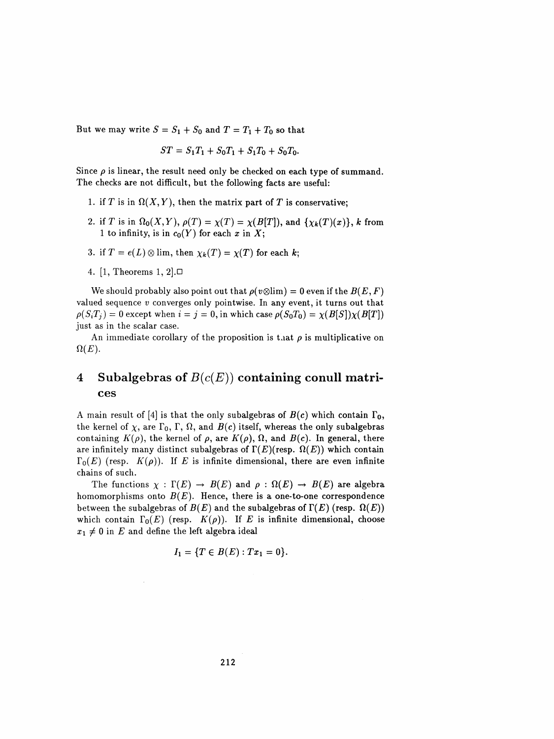But we may write  $S = S_1 + S_0$  and  $T = T_1 + T_0$  so that

$$
ST = S_1T_1 + S_0T_1 + S_1T_0 + S_0T_0.
$$

Since  $\rho$  is linear, the result need only be checked on each type of summand. The checks are not difficult, but the following facts are useful:

- 1. if T is in  $\Omega(X, Y)$ , then the matrix part of T is conservative;
- 2. if T is in  $\Omega_0(X,Y)$ ,  $\rho(T) = \chi(T) = \chi(B[T])$ , and  $\{\chi_k(T)(x)\}\,$ , k from 1 to infinity, is in  $c_0(Y)$  for each x in X;
- 3. if  $T = e(L) \otimes \lim$ , then  $\chi_k(T) = \chi(T)$  for each k;
- 4. [1, Theorems 1, 2].D

We should probably also point out that  $\rho(v \otimes \lim) = 0$  even if the  $B(E, F)$ valued sequence  $v$  converges only pointwise. In any event, it turns out that  $\rho(S_iT_j) = 0$  except when  $i = j = 0$ , in which case  $\rho(S_0T_0) = \chi(B[S])\chi(B[T])$ just as in the scalar case.

An immediate corollary of the proposition is that  $\rho$  is multiplicative on  $\Omega(E)$ .

# 4 Subalgebras of  $B(c(E))$  containing conull matrices

A main result of [4] is that the only subalgebras of  $B(c)$  which contain  $\Gamma_0$ , the kernel of  $\chi$ , are  $\Gamma_0$ ,  $\Gamma$ ,  $\Omega$ , and  $B(c)$  itself, whereas the only subalgebras containing  $K(\rho)$ , the kernel of  $\rho$ , are  $K(\rho)$ ,  $\Omega$ , and  $B(c)$ . In general, there are infinitely many distinct subalgebras of  $\Gamma(E)$ (resp.  $\Omega(E)$ ) which contain  $\Gamma_0(E)$  (resp.  $K(\rho)$ ). If E is infinite dimensional, there are even infinite chains of such.

The functions  $\chi : \Gamma(E) \to B(E)$  and  $\rho : \Omega(E) \to B(E)$  are algebra homomorphisms onto  $B(E)$ . Hence, there is a one-to-one correspondence between the subalgebras of  $B(E)$  and the subalgebras of  $\Gamma(E)$  (resp.  $\Omega(E)$ ) which contain  $\Gamma_0(E)$  (resp.  $K(\rho)$ ). If E is infinite dimensional, choose  $x_1 \neq 0$  in E and define the left algebra ideal

$$
I_1 = \{T \in B(E) : Tx_1 = 0\}.
$$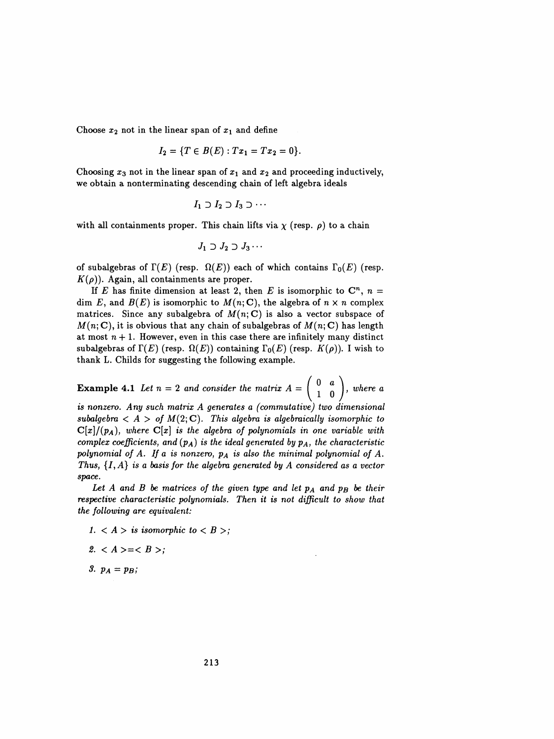Choose  $x_2$  not in the linear span of  $x_1$  and define

$$
I_2 = \{T \in B(E) : Tx_1 = Tx_2 = 0\}.
$$

Choosing  $x_3$  not in the linear span of  $x_1$  and  $x_2$  and proceeding inductively, we obtain a nonterminating descending chain of left algebra ideals

$$
I_1 \supset I_2 \supset I_3 \supset \cdots
$$

with all containments proper. This chain lifts via  $\chi$  (resp.  $\rho$ ) to a chain

$$
J_1 \supset J_2 \supset J_3 \cdots
$$

of subalgebras of  $\Gamma(E)$  (resp.  $\Omega(E)$ ) each of which contains  $\Gamma_0(E)$  (resp.  $K(\rho)$ ). Again, all containments are proper.

If E has finite dimension at least 2, then E is isomorphic to  $\mathbb{C}^n$ ,  $n =$ dim E, and  $B(E)$  is isomorphic to  $M(n; \mathbb{C})$ , the algebra of  $n \times n$  complex matrices. Since any subalgebra of  $M(n; C)$  is also a vector subspace of  $M(n; \mathbf{C})$ , it is obvious that any chain of subalgebras of  $M(n; \mathbf{C})$  has length at most  $n + 1$ . However, even in this case there are infinitely many distinct subalgebras of  $\Gamma(E)$  (resp.  $\Omega(E)$ ) containing  $\Gamma_0(E)$  (resp.  $K(\rho)$ ). I wish to thank L. Childs for suggesting the following example.

**Example 4.1** Let  $n = 2$  and consider the matrix  $A = \begin{pmatrix} 0 & a \\ 1 & 0 \end{pmatrix}$ , where a

is nonzero. Any such matrix A generates a (commutative) two dimensional subalgebra  $\langle A \rangle$  of  $M(2;\mathbb{C})$ . This algebra is algebraically isomorphic to  $C[x]/(p_A)$ , where  $C[x]$  is the algebra of polynomials in one variable with complex coefficients, and  $(p_A)$  is the ideal generated by  $p_A$ , the characteristic polynomial of A. If a is nonzero,  $p_A$  is also the minimal polynomial of A. Thus,  $\{I, A\}$  is a basis for the algebra generated by A considered as a vector space.

Let A and B be matrices of the given type and let  $p_A$  and  $p_B$  be their respective characteristic polynomials. Then it is not difficult to show that the following are equivalent:

- 1.  $\langle A \rangle$  is isomorphic to  $\langle B \rangle$ ;
- 2.  $\langle A \rangle = \langle B \rangle$ ;
- 3.  $p_A = p_B$ ;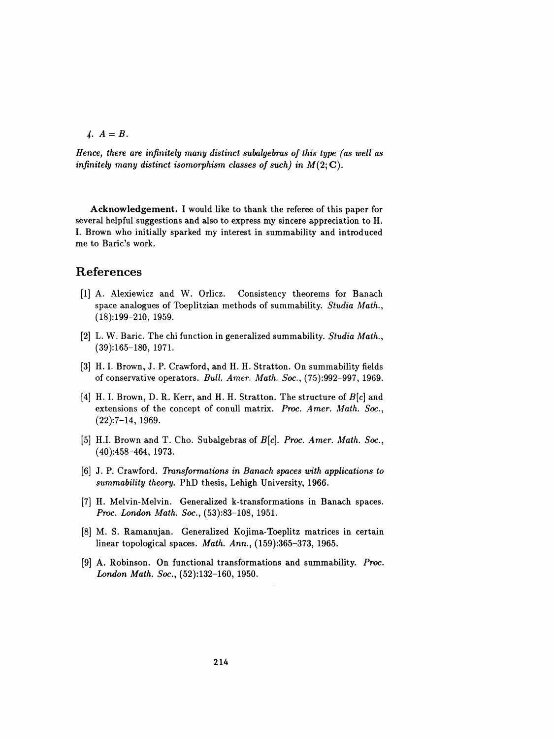$$
A. A = B.
$$

Hence, there are infinitely many distinct subalgebras of this type (as well as infinitely many distinct isomorphism classes of such) in  $M(2;C)$ .

 Acknowledgement. I would like to thank the referee of this paper for several helpful suggestions and also to express my sincere appreciation to H. I. Brown who initially sparked my interest in summability and introduced me to Baric's work.

# References

- [1] A. Alexiewicz and W. Orlicz. Consistency theorems for Banach space analogues of Toeplitzian methods of summability. Studia Math.,  $(18):199-210, 1959.$
- [2] L. W. Baric. The chi function in generalized summability. *Studia Math.*, (39):165-180, 1971.
- [3] H. I. Brown, J. P. Crawford, and H. H. Stratton. On summability fields of conservative operators. Bull. Amer. Math. Soc., (75):992-997, 1969.
- [4] H. I. Brown, D. R. Kerr, and H. H. Stratton. The structure of  $B[c]$  and extensions of the concept of conull matrix. Proc. Amer. Math. Soc.,  $(22): 7-14, 1969.$
- [5] H.I. Brown and T. Cho. Subalgebras of B[c]. Proc. Amer. Math. Soc., (40):458-464, 1973.
- [6] J. P. Crawford. Transformations in Banach spaces with applications to summability theory. PhD thesis, Lehigh University, 1966.
- [7] H. Melvin-Melvin. Generalized k-transformations in Banach spaces. Proc. London Math. Soc., (53):83-108, 1951.
- [8] M. S. Ramanujan. Generalized Kojima-Toeplitz matrices in certain linear topological spaces. Math. Ann., (159):365-373, 1965.
- [9] A. Robinson. On functional transformations and summability. Proc. London Math. Soc., (52):132-160, 1950.